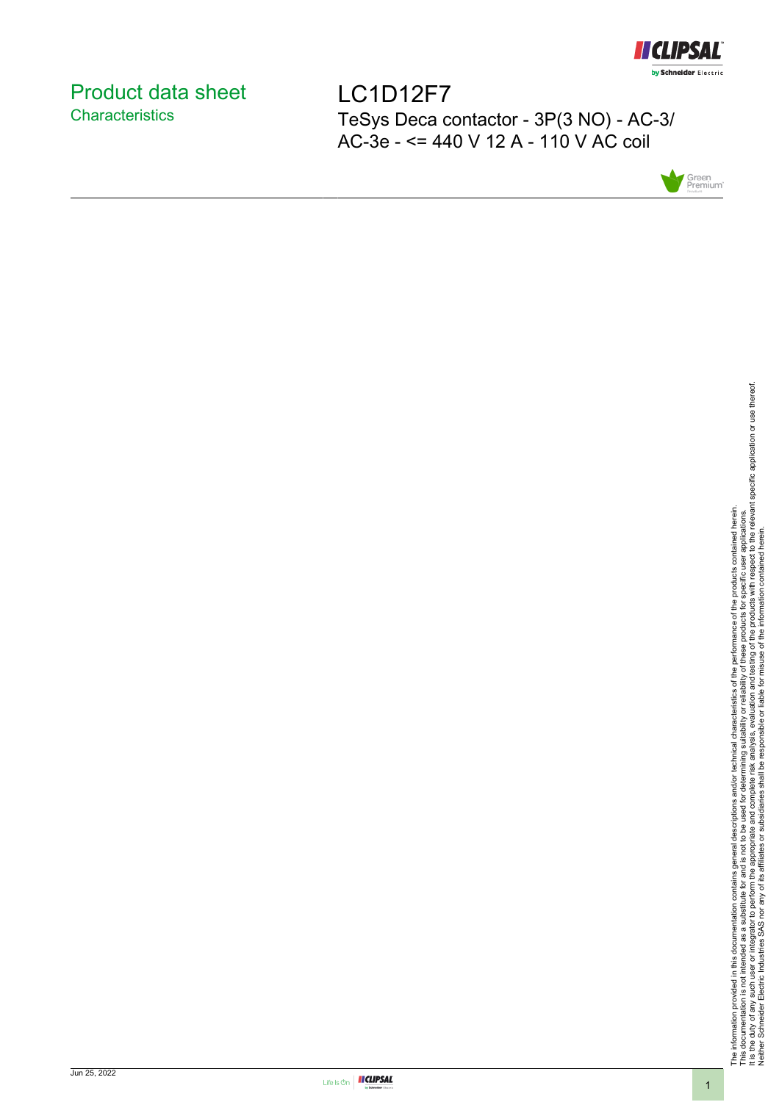

# <span id="page-0-0"></span>Product data sheet **Characteristics**

LC1D12F7 TeSys Deca contactor - 3P(3 NO) - AC-3/ AC-3e - <= 440 V 12 A - 110 V AC coil



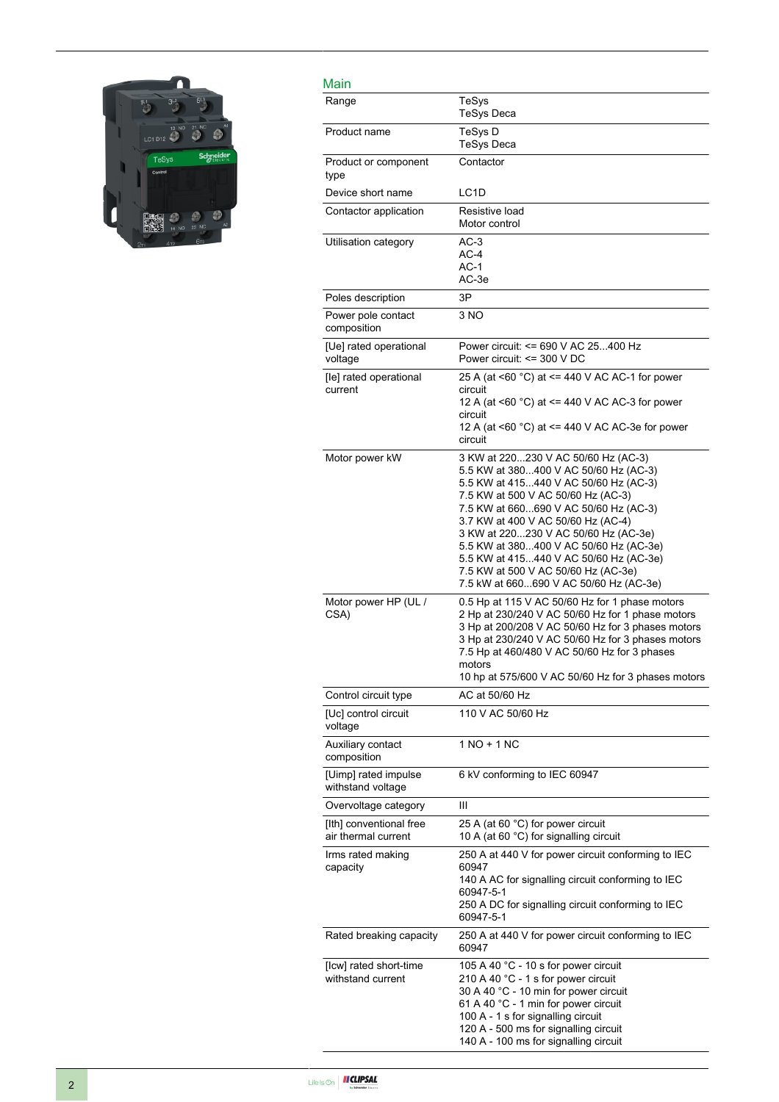

| Main                                           |                                                                                                                                                                                                                                                                                                                                                                                                                                                         |
|------------------------------------------------|---------------------------------------------------------------------------------------------------------------------------------------------------------------------------------------------------------------------------------------------------------------------------------------------------------------------------------------------------------------------------------------------------------------------------------------------------------|
| Range                                          | TeSys<br><b>TeSys Deca</b>                                                                                                                                                                                                                                                                                                                                                                                                                              |
| Product name                                   | TeSys D<br><b>TeSys Deca</b>                                                                                                                                                                                                                                                                                                                                                                                                                            |
| Product or component<br>type                   | Contactor                                                                                                                                                                                                                                                                                                                                                                                                                                               |
| Device short name                              | LC <sub>1</sub> D                                                                                                                                                                                                                                                                                                                                                                                                                                       |
| Contactor application                          | Resistive load<br>Motor control                                                                                                                                                                                                                                                                                                                                                                                                                         |
| Utilisation category                           | $AC-3$<br>$AC-4$<br>$AC-1$<br>AC-3e                                                                                                                                                                                                                                                                                                                                                                                                                     |
| Poles description                              | 3P                                                                                                                                                                                                                                                                                                                                                                                                                                                      |
| Power pole contact<br>composition              | 3 NO                                                                                                                                                                                                                                                                                                                                                                                                                                                    |
| [Ue] rated operational<br>voltage              | Power circuit: <= 690 V AC 25400 Hz<br>Power circuit: $\leq$ 300 V DC                                                                                                                                                                                                                                                                                                                                                                                   |
| [le] rated operational<br>current              | 25 A (at <60 °C) at <= 440 V AC AC-1 for power<br>circuit<br>12 A (at <60 °C) at <= 440 V AC AC-3 for power<br>circuit<br>12 A (at <60 °C) at <= 440 V AC AC-3e for power<br>circuit                                                                                                                                                                                                                                                                    |
| Motor power kW                                 | 3 KW at 220230 V AC 50/60 Hz (AC-3)<br>5.5 KW at 380400 V AC 50/60 Hz (AC-3)<br>5.5 KW at 415440 V AC 50/60 Hz (AC-3)<br>7.5 KW at 500 V AC 50/60 Hz (AC-3)<br>7.5 KW at 660690 V AC 50/60 Hz (AC-3)<br>3.7 KW at 400 V AC 50/60 Hz (AC-4)<br>3 KW at 220230 V AC 50/60 Hz (AC-3e)<br>5.5 KW at 380400 V AC 50/60 Hz (AC-3e)<br>5.5 KW at 415440 V AC 50/60 Hz (AC-3e)<br>7.5 KW at 500 V AC 50/60 Hz (AC-3e)<br>7.5 kW at 660690 V AC 50/60 Hz (AC-3e) |
| Motor power HP (UL /<br>CSA)                   | 0.5 Hp at 115 V AC 50/60 Hz for 1 phase motors<br>2 Hp at 230/240 V AC 50/60 Hz for 1 phase motors<br>3 Hp at 200/208 V AC 50/60 Hz for 3 phases motors<br>3 Hp at 230/240 V AC 50/60 Hz for 3 phases motors<br>7.5 Hp at 460/480 V AC 50/60 Hz for 3 phases<br>motors<br>10 hp at 575/600 V AC 50/60 Hz for 3 phases motors                                                                                                                            |
| Control circuit type                           | AC at 50/60 Hz                                                                                                                                                                                                                                                                                                                                                                                                                                          |
| [Uc] control circuit<br>voltage                | 110 V AC 50/60 Hz                                                                                                                                                                                                                                                                                                                                                                                                                                       |
| Auxiliary contact<br>composition               | 1 NO + 1 NC                                                                                                                                                                                                                                                                                                                                                                                                                                             |
| [Uimp] rated impulse<br>withstand voltage      | 6 kV conforming to IEC 60947                                                                                                                                                                                                                                                                                                                                                                                                                            |
| Overvoltage category                           | Ш                                                                                                                                                                                                                                                                                                                                                                                                                                                       |
| [Ith] conventional free<br>air thermal current | 25 A (at 60 °C) for power circuit<br>10 A (at 60 $^{\circ}$ C) for signalling circuit                                                                                                                                                                                                                                                                                                                                                                   |
| Irms rated making<br>capacity                  | 250 A at 440 V for power circuit conforming to IEC<br>60947<br>140 A AC for signalling circuit conforming to IEC<br>60947-5-1<br>250 A DC for signalling circuit conforming to IEC<br>60947-5-1                                                                                                                                                                                                                                                         |
| Rated breaking capacity                        | 250 A at 440 V for power circuit conforming to IEC<br>60947                                                                                                                                                                                                                                                                                                                                                                                             |
| [Icw] rated short-time<br>withstand current    | 105 A 40 °C - 10 s for power circuit<br>210 A 40 °C - 1 s for power circuit<br>30 A 40 °C - 10 min for power circuit<br>61 A 40 °C - 1 min for power circuit<br>100 A - 1 s for signalling circuit<br>120 A - 500 ms for signalling circuit<br>140 A - 100 ms for signalling circuit                                                                                                                                                                    |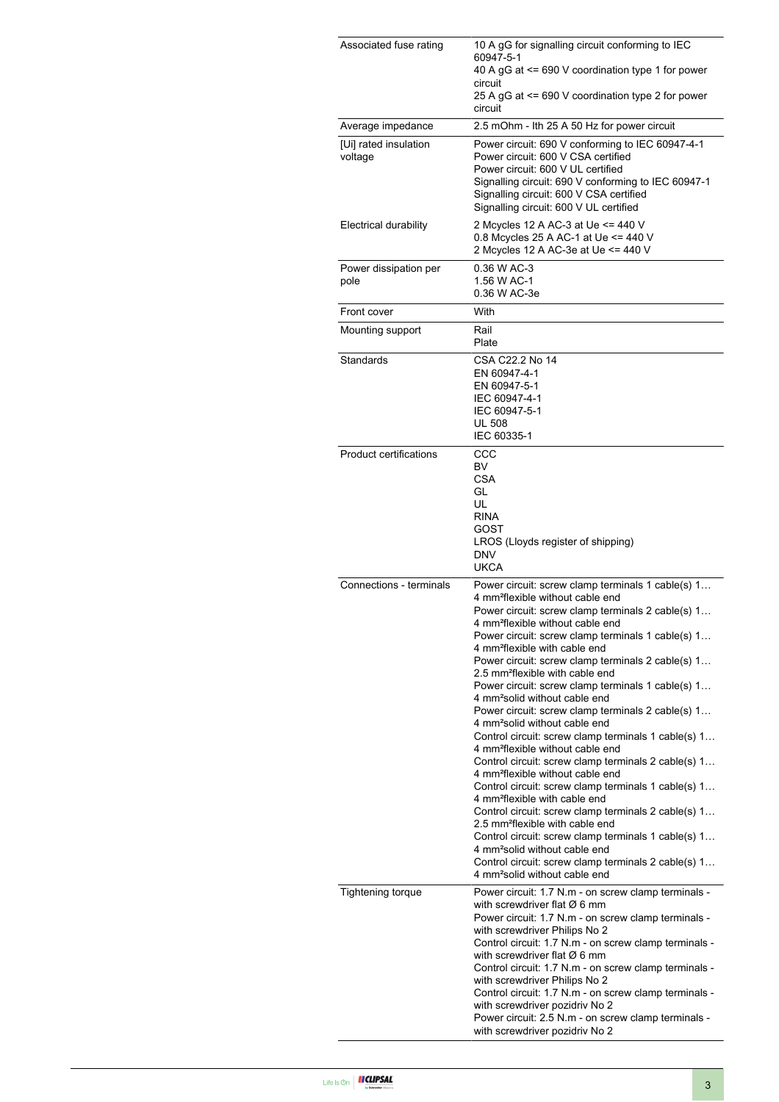| Associated fuse rating           | 10 A gG for signalling circuit conforming to IEC<br>60947-5-1<br>40 A gG at <= 690 V coordination type 1 for power<br>circuit<br>25 A gG at <= 690 V coordination type 2 for power                                                                                                                                                                                                                                                                                                                                                                                                                                                                                                                                                                                                                                                                                                                                                                                                                                                                                                                                                                                                                                                               |  |  |
|----------------------------------|--------------------------------------------------------------------------------------------------------------------------------------------------------------------------------------------------------------------------------------------------------------------------------------------------------------------------------------------------------------------------------------------------------------------------------------------------------------------------------------------------------------------------------------------------------------------------------------------------------------------------------------------------------------------------------------------------------------------------------------------------------------------------------------------------------------------------------------------------------------------------------------------------------------------------------------------------------------------------------------------------------------------------------------------------------------------------------------------------------------------------------------------------------------------------------------------------------------------------------------------------|--|--|
| Average impedance                | circuit<br>2.5 mOhm - Ith 25 A 50 Hz for power circuit                                                                                                                                                                                                                                                                                                                                                                                                                                                                                                                                                                                                                                                                                                                                                                                                                                                                                                                                                                                                                                                                                                                                                                                           |  |  |
| [Ui] rated insulation<br>voltage | Power circuit: 690 V conforming to IEC 60947-4-1<br>Power circuit: 600 V CSA certified<br>Power circuit: 600 V UL certified<br>Signalling circuit: 690 V conforming to IEC 60947-1<br>Signalling circuit: 600 V CSA certified<br>Signalling circuit: 600 V UL certified                                                                                                                                                                                                                                                                                                                                                                                                                                                                                                                                                                                                                                                                                                                                                                                                                                                                                                                                                                          |  |  |
| Electrical durability            | 2 Mcycles 12 A AC-3 at Ue <= 440 V<br>0.8 Mcycles 25 A AC-1 at Ue <= 440 V<br>2 Mcycles 12 A AC-3e at Ue <= 440 V                                                                                                                                                                                                                                                                                                                                                                                                                                                                                                                                                                                                                                                                                                                                                                                                                                                                                                                                                                                                                                                                                                                                |  |  |
| Power dissipation per<br>pole    | 0.36 W AC-3<br>1.56 W AC-1<br>0.36 W AC-3e                                                                                                                                                                                                                                                                                                                                                                                                                                                                                                                                                                                                                                                                                                                                                                                                                                                                                                                                                                                                                                                                                                                                                                                                       |  |  |
| Front cover                      | With                                                                                                                                                                                                                                                                                                                                                                                                                                                                                                                                                                                                                                                                                                                                                                                                                                                                                                                                                                                                                                                                                                                                                                                                                                             |  |  |
| Mounting support                 | Rail<br>Plate                                                                                                                                                                                                                                                                                                                                                                                                                                                                                                                                                                                                                                                                                                                                                                                                                                                                                                                                                                                                                                                                                                                                                                                                                                    |  |  |
| Standards                        | CSA C22.2 No 14<br>EN 60947-4-1<br>EN 60947-5-1<br>IEC 60947-4-1<br>IEC 60947-5-1<br><b>UL 508</b><br>IEC 60335-1                                                                                                                                                                                                                                                                                                                                                                                                                                                                                                                                                                                                                                                                                                                                                                                                                                                                                                                                                                                                                                                                                                                                |  |  |
| Product certifications           | CCC<br>BV<br><b>CSA</b><br>GL<br>UL<br><b>RINA</b><br>GOST<br>LROS (Lloyds register of shipping)<br><b>DNV</b><br><b>UKCA</b>                                                                                                                                                                                                                                                                                                                                                                                                                                                                                                                                                                                                                                                                                                                                                                                                                                                                                                                                                                                                                                                                                                                    |  |  |
| Connections - terminals          | Power circuit: screw clamp terminals 1 cable(s) 1<br>4 mm <sup>2</sup> flexible without cable end<br>Power circuit: screw clamp terminals 2 cable(s) 1<br>4 mm <sup>2</sup> flexible without cable end<br>Power circuit: screw clamp terminals 1 cable(s) 1<br>4 mm <sup>2</sup> flexible with cable end<br>Power circuit: screw clamp terminals 2 cable(s) 1<br>2.5 mm <sup>2</sup> flexible with cable end<br>Power circuit: screw clamp terminals 1 cable(s) 1<br>4 mm <sup>2</sup> solid without cable end<br>Power circuit: screw clamp terminals 2 cable(s) 1<br>4 mm <sup>2</sup> solid without cable end<br>Control circuit: screw clamp terminals 1 cable(s) 1<br>4 mm <sup>2</sup> flexible without cable end<br>Control circuit: screw clamp terminals 2 cable(s) 1<br>4 mm <sup>2</sup> flexible without cable end<br>Control circuit: screw clamp terminals 1 cable(s) 1<br>4 mm <sup>2</sup> flexible with cable end<br>Control circuit: screw clamp terminals 2 cable(s) 1<br>2.5 mm <sup>2</sup> flexible with cable end<br>Control circuit: screw clamp terminals 1 cable(s) 1<br>4 mm <sup>2</sup> solid without cable end<br>Control circuit: screw clamp terminals 2 cable(s) 1<br>4 mm <sup>2</sup> solid without cable end |  |  |
| <b>Tightening torque</b>         | Power circuit: 1.7 N.m - on screw clamp terminals -<br>with screwdriver flat $\varnothing$ 6 mm<br>Power circuit: 1.7 N.m - on screw clamp terminals -<br>with screwdriver Philips No 2<br>Control circuit: 1.7 N.m - on screw clamp terminals -<br>with screwdriver flat $\varnothing$ 6 mm<br>Control circuit: 1.7 N.m - on screw clamp terminals -<br>with screwdriver Philips No 2<br>Control circuit: 1.7 N.m - on screw clamp terminals -<br>with screwdriver pozidriv No 2<br>Power circuit: 2.5 N.m - on screw clamp terminals -<br>with screwdriver pozidriv No 2                                                                                                                                                                                                                                                                                                                                                                                                                                                                                                                                                                                                                                                                       |  |  |

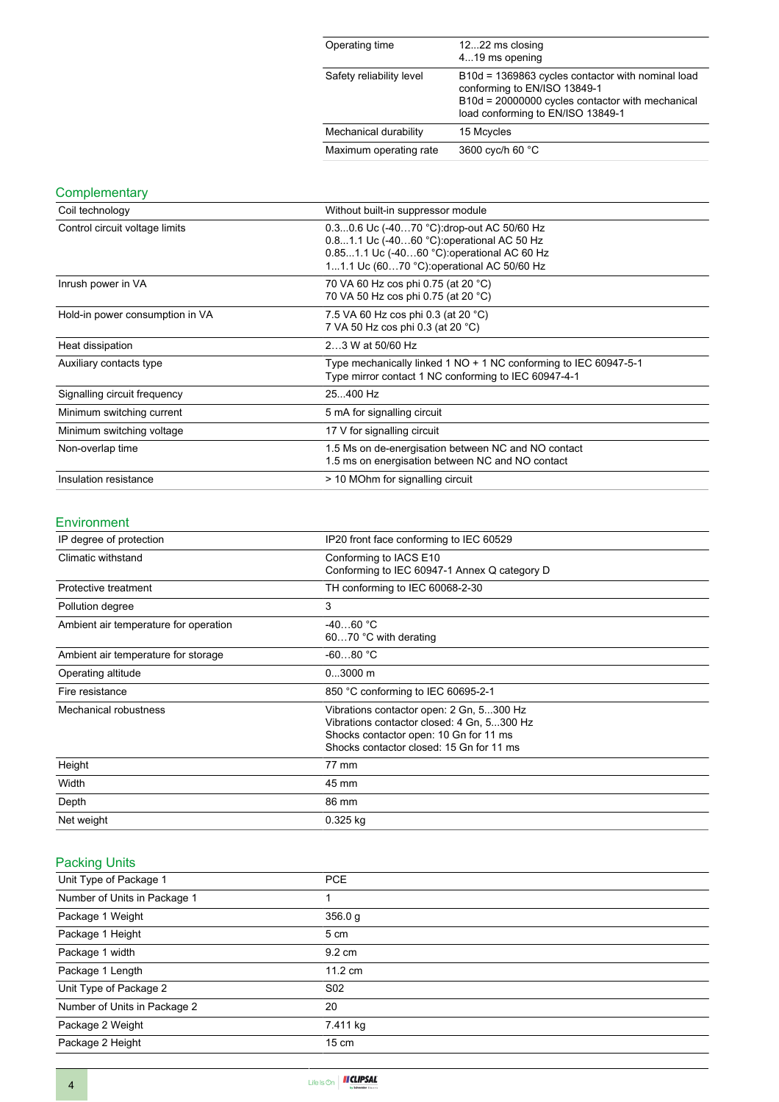| Operating time           | 1222 ms closing<br>419 ms opening                                                                                                                                          |
|--------------------------|----------------------------------------------------------------------------------------------------------------------------------------------------------------------------|
| Safety reliability level | B10d = 1369863 cycles contactor with nominal load<br>conforming to EN/ISO 13849-1<br>B10d = 20000000 cycles contactor with mechanical<br>load conforming to EN/ISO 13849-1 |
| Mechanical durability    | 15 Mcycles                                                                                                                                                                 |
| Maximum operating rate   | 3600 cyc/h 60 °C                                                                                                                                                           |

#### **Complementary**

| Coil technology                 | Without built-in suppressor module                                                                                                                                                   |  |  |
|---------------------------------|--------------------------------------------------------------------------------------------------------------------------------------------------------------------------------------|--|--|
| Control circuit voltage limits  | 0.30.6 Uc (-4070 °C): drop-out AC 50/60 Hz<br>0.81.1 Uc (-4060 °C): operational AC 50 Hz<br>0.851.1 Uc (-4060 °C):operational AC 60 Hz<br>11.1 Uc (6070 °C): operational AC 50/60 Hz |  |  |
| Inrush power in VA              | 70 VA 60 Hz cos phi 0.75 (at 20 °C)<br>70 VA 50 Hz cos phi 0.75 (at 20 °C)                                                                                                           |  |  |
| Hold-in power consumption in VA | 7.5 VA 60 Hz cos phi 0.3 (at 20 °C)<br>7 VA 50 Hz cos phi 0.3 (at 20 °C)                                                                                                             |  |  |
| Heat dissipation                | 23 W at 50/60 Hz                                                                                                                                                                     |  |  |
| Auxiliary contacts type         | Type mechanically linked 1 NO + 1 NC conforming to IEC 60947-5-1<br>Type mirror contact 1 NC conforming to IEC 60947-4-1                                                             |  |  |
| Signalling circuit frequency    | 25400 Hz                                                                                                                                                                             |  |  |
| Minimum switching current       | 5 mA for signalling circuit                                                                                                                                                          |  |  |
| Minimum switching voltage       | 17 V for signalling circuit                                                                                                                                                          |  |  |
| Non-overlap time                | 1.5 Ms on de-energisation between NC and NO contact<br>1.5 ms on energisation between NC and NO contact                                                                              |  |  |
| Insulation resistance           | > 10 MOhm for signalling circuit                                                                                                                                                     |  |  |

#### Environment

| IP degree of protection               | IP20 front face conforming to IEC 60529                                                                                                                                      |  |
|---------------------------------------|------------------------------------------------------------------------------------------------------------------------------------------------------------------------------|--|
| Climatic withstand                    | Conforming to IACS E10<br>Conforming to IEC 60947-1 Annex Q category D                                                                                                       |  |
| Protective treatment                  | TH conforming to IEC 60068-2-30                                                                                                                                              |  |
| Pollution degree                      | 3                                                                                                                                                                            |  |
| Ambient air temperature for operation | $-4060 °C$<br>6070 °C with derating                                                                                                                                          |  |
| Ambient air temperature for storage   | $-6080 °C$                                                                                                                                                                   |  |
| Operating altitude                    | $03000$ m                                                                                                                                                                    |  |
| Fire resistance                       | 850 °C conforming to IEC 60695-2-1                                                                                                                                           |  |
| Mechanical robustness                 | Vibrations contactor open: 2 Gn, 5300 Hz<br>Vibrations contactor closed: 4 Gn, 5300 Hz<br>Shocks contactor open: 10 Gn for 11 ms<br>Shocks contactor closed: 15 Gn for 11 ms |  |
| Height                                | 77 mm                                                                                                                                                                        |  |
| Width                                 | 45 mm                                                                                                                                                                        |  |
| Depth                                 | 86 mm                                                                                                                                                                        |  |
| Net weight                            | $0.325$ kg                                                                                                                                                                   |  |

# Packing Units

| Unit Type of Package 1       | <b>PCE</b>        |
|------------------------------|-------------------|
| Number of Units in Package 1 |                   |
| Package 1 Weight             | 356.0 g           |
| Package 1 Height             | 5 cm              |
| Package 1 width              | $9.2 \text{ cm}$  |
| Package 1 Length             | $11.2 \text{ cm}$ |
| Unit Type of Package 2       | S <sub>02</sub>   |
| Number of Units in Package 2 | 20                |
| Package 2 Weight             | 7.411 kg          |
| Package 2 Height             | $15 \text{ cm}$   |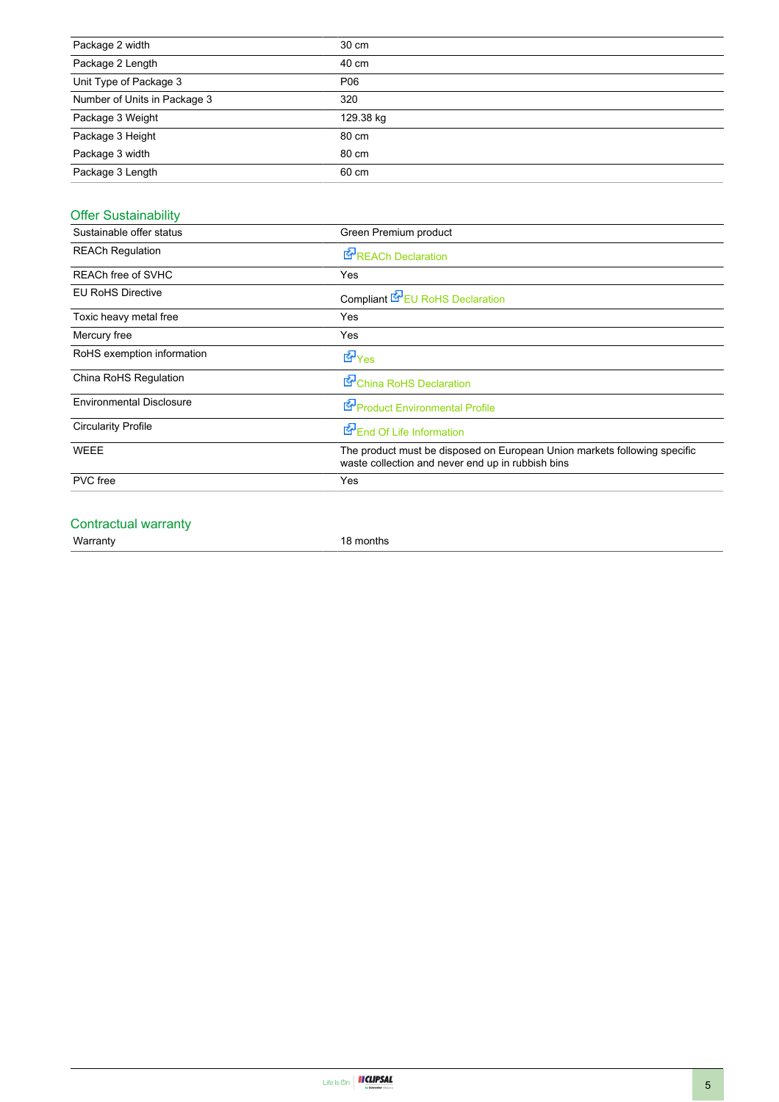| Package 2 width              | 30 cm     |
|------------------------------|-----------|
| Package 2 Length             | 40 cm     |
| Unit Type of Package 3       | P06       |
| Number of Units in Package 3 | 320       |
| Package 3 Weight             | 129.38 kg |
| Package 3 Height             | 80 cm     |
| Package 3 width              | 80 cm     |
| Package 3 Length             | 60 cm     |

### Offer Sustainability

| Sustainable offer status        | Green Premium product                                                                                                          |  |  |  |
|---------------------------------|--------------------------------------------------------------------------------------------------------------------------------|--|--|--|
| <b>REACh Regulation</b>         | <b>E</b> REACh Declaration                                                                                                     |  |  |  |
| <b>REACh free of SVHC</b>       | Yes                                                                                                                            |  |  |  |
| <b>EU RoHS Directive</b>        | Compliant <b>E</b> EU RoHS Declaration                                                                                         |  |  |  |
| Toxic heavy metal free          | Yes                                                                                                                            |  |  |  |
| Mercury free                    | Yes                                                                                                                            |  |  |  |
| RoHS exemption information      | do Yes                                                                                                                         |  |  |  |
| China RoHS Regulation           | China RoHS Declaration                                                                                                         |  |  |  |
| <b>Environmental Disclosure</b> | Product Environmental Profile                                                                                                  |  |  |  |
| <b>Circularity Profile</b>      | End Of Life Information                                                                                                        |  |  |  |
| <b>WEEE</b>                     | The product must be disposed on European Union markets following specific<br>waste collection and never end up in rubbish bins |  |  |  |
| <b>PVC</b> free                 | Yes                                                                                                                            |  |  |  |
|                                 |                                                                                                                                |  |  |  |

#### Contractual warranty

Warranty 18 months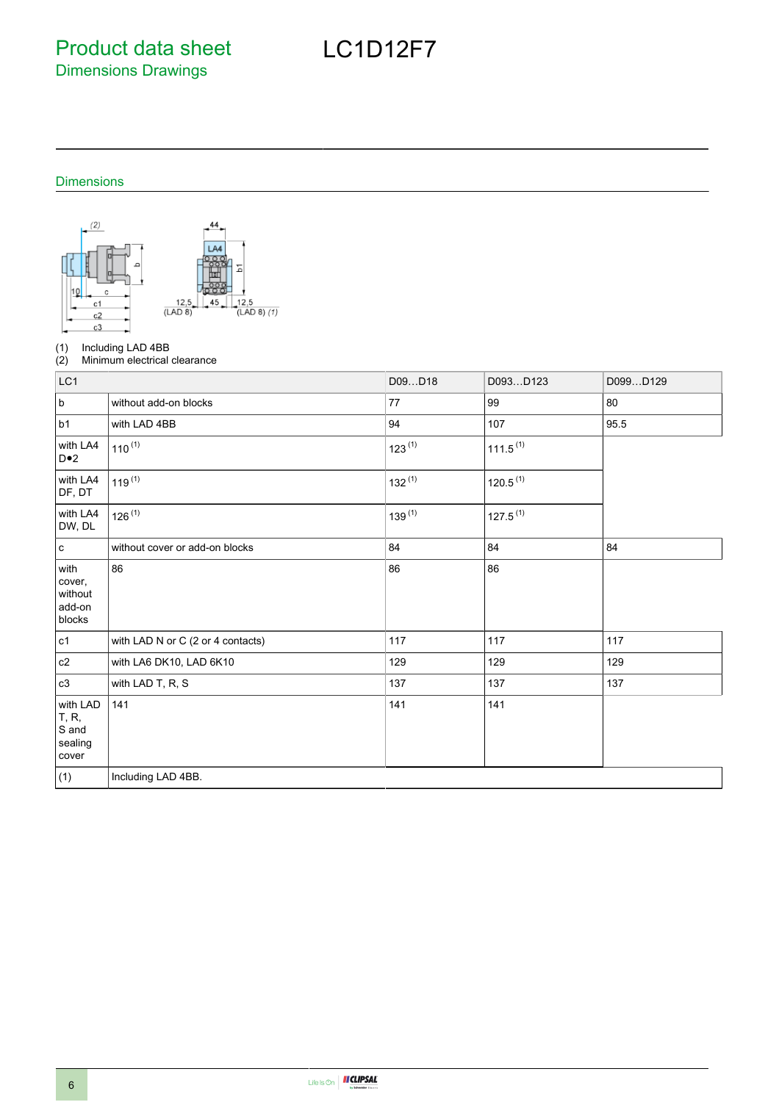Product data sheet Dimensions Drawings

## Dimensions



(1) Including LAD 4BB<br>(2) Minimum electrical

Minimum electrical clearance

| LC1                                            |                                   | D09D18      | D093D123             | D099D129 |
|------------------------------------------------|-----------------------------------|-------------|----------------------|----------|
| $\sf b$                                        | without add-on blocks             | 77          | 99                   | 80       |
| b1                                             | with LAD 4BB                      | 94          | 107                  | 95.5     |
| with LA4<br>$D \bullet 2$                      | $110^{(1)}$                       | $123^{(1)}$ | $111.5^{(1)}$        |          |
| with LA4<br>DF, DT                             | $119^{(1)}$                       | $132^{(1)}$ | 120.5 <sup>(1)</sup> |          |
| with LA4<br>DW, DL                             | $126^{(1)}$                       | $139^{(1)}$ | $127.5^{(1)}$        |          |
| $\mathbf c$                                    | without cover or add-on blocks    | 84          | 84                   | 84       |
| with<br>cover,<br>without<br>add-on<br>blocks  | 86                                | 86          | 86                   |          |
| c1                                             | with LAD N or C (2 or 4 contacts) | 117         | 117                  | 117      |
| $\mathtt{c2}$                                  | with LA6 DK10, LAD 6K10           | 129         | 129                  | 129      |
| c3                                             | with LAD T, R, S                  | 137         | 137                  | 137      |
| with LAD<br>T, R,<br>S and<br>sealing<br>cover | 141                               | 141         | 141                  |          |
| (1)                                            | Including LAD 4BB.                |             |                      |          |

# LC1D12F7